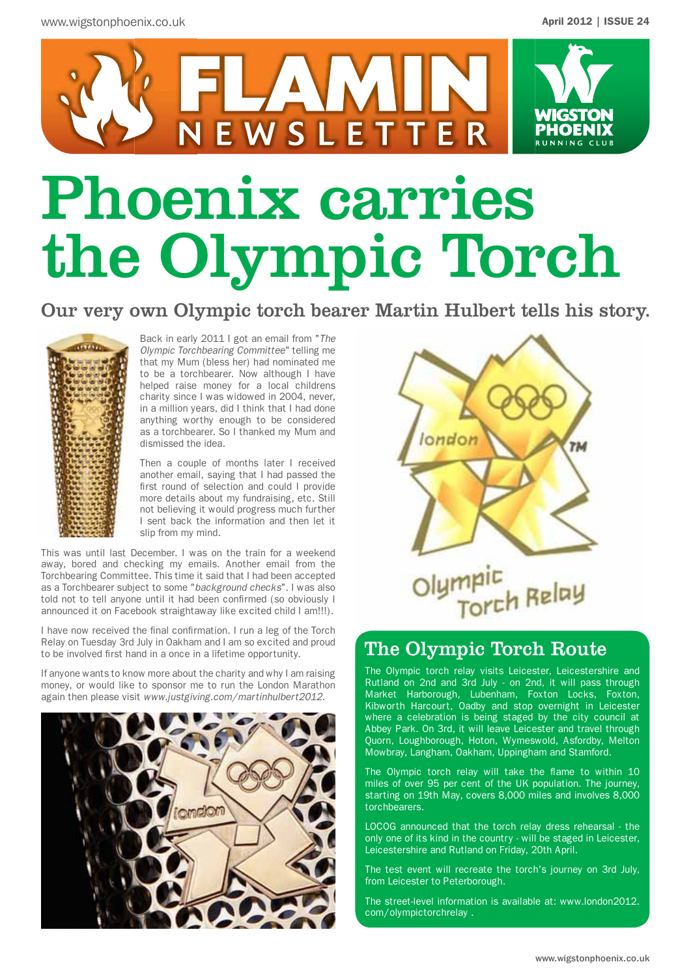

# Phoenix carries the Olympic Torch

Our very own Olympic torch bearer Martin Hulbert tells his story.



Back in early 2011 I got an email from "*The Olympic Torchbearing Committee*" telling me that my Mum (bless her) had nominated me to be a torchbearer. Now although I have helped raise money for a local childrens charity since I was widowed in 2004, never, in a million years, did I think that I had done anything worthy enough to be considered as a torchbearer. So I thanked my Mum and dismissed the idea.

Then a couple of months later I received another email, saying that I had passed the first round of selection and could I provide more details about my fundraising, etc. Still not believing it would progress much further I sent back the information and then let it slip from my mind.

This was until last December. I was on the train for a weekend away, bored and checking my emails. Another email from the Torchbearing Committee. This time it said that I had been accepted as a Torchbearer subject to some "*background checks*". I was also told not to tell anyone until it had been confirmed (so obviously I announced it on Facebook straightaway like excited child I am!!!).

I have now received the final confirmation. I run a leg of the Torch Relay on Tuesday 3rd July in Oakham and I am so excited and proud to be involved first hand in a once in a lifetime opportunity.

If anyone wants to know more about the charity and why I am raising money, or would like to sponsor me to run the London Marathon again then please visit *www.justgiving.com/martinhulbert2012.*





## The Olympic Torch Route

The Olympic torch relay visits Leicester, Leicestershire and Rutland on 2nd and 3rd July - on 2nd, it will pass through Market Harborough, Lubenham, Foxton Locks, Foxton, Kibworth Harcourt, Oadby and stop overnight in Leicester where a celebration is being staged by the city council at Abbey Park. On 3rd, it will leave Leicester and travel through Quorn, Loughborough, Hoton, Wymeswold, Asfordby, Melton Mowbray, Langham, Oakham, Uppingham and Stamford.

The Olympic torch relay will take the flame to within 10 miles of over 95 per cent of the UK population. The journey, starting on 19th May, covers 8,000 miles and involves 8,000 torchbearers.

LOCOG announced that the torch relay dress rehearsal - the only one of its kind in the country - will be staged in Leicester, Leicestershire and Rutland on Friday, 20th April.

The test event will recreate the torch's journey on 3rd July, from Leicester to Peterborough.

The street-level information is available at: www.london2012. com/olympictorchrelay .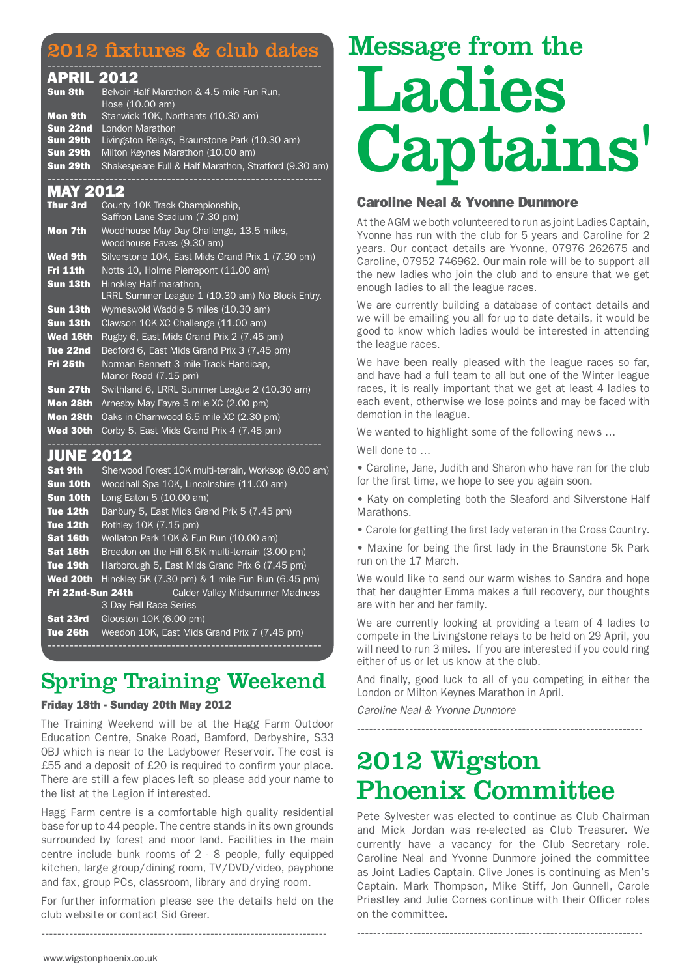## 2012 fixtures & club dates

#### -------------------------------------------------------------- APRIL 2012

| Sun 8th  | Belvoir Half Marathon & 4.5 mile Fun Run,<br>Hose $(10.00 \text{ am})$ |
|----------|------------------------------------------------------------------------|
| Mon 9th  | Stanwick 10K, Northants (10.30 am)                                     |
| Sun 22nd | London Marathon                                                        |
| Sun 29th | Livingston Relays, Braunstone Park (10.30 am)                          |
| Sun 29th | Milton Keynes Marathon (10.00 am)                                      |
| Sun 29th | Shakespeare Full & Half Marathon, Stratford (9.30 am)                  |

### **MAY 201**

| <b>Thur 3rd</b> | County 10K Track Championship.<br>Saffron Lane Stadium (7.30 pm)           |
|-----------------|----------------------------------------------------------------------------|
| Mon 7th         | Woodhouse May Day Challenge, 13.5 miles,<br>Woodhouse Eaves (9.30 am)      |
| <b>Wed 9th</b>  | Silverstone 10K, East Mids Grand Prix 1 (7.30 pm)                          |
| Fri 11th        | Notts 10, Holme Pierrepont (11.00 am)                                      |
| Sun 13th        | Hinckley Half marathon,<br>LRRL Summer League 1 (10.30 am) No Block Entry. |
| Sun 13th        | Wymeswold Waddle 5 miles (10.30 am)                                        |
| Sun 13th        | Clawson 10K XC Challenge (11.00 am)                                        |
| <b>Wed 16th</b> | Rugby 6, East Mids Grand Prix 2 (7.45 pm)                                  |
| Tue 22nd        | Bedford 6, East Mids Grand Prix 3 (7.45 pm)                                |
| Fri 25th        | Norman Bennett 3 mile Track Handicap,<br>Manor Road (7.15 pm)              |
| Sun 27th        | Swithland 6, LRRL Summer League 2 (10.30 am)                               |
| Mon 28th        | Arnesby May Fayre 5 mile XC (2.00 pm)                                      |
| Mon 28th        | Oaks in Charnwood 6.5 mile XC (2.30 pm)                                    |
| Wed 30th        | Corby 5, East Mids Grand Prix 4 (7.45 pm)                                  |
|                 |                                                                            |

## JUNE 2012

| <b>Sat 9th</b>    | Sherwood Forest 10K multi-terrain, Worksop (9.00 am) |  |  |  |  |  |
|-------------------|------------------------------------------------------|--|--|--|--|--|
| Sun 10th          | Woodhall Spa 10K, Lincolnshire (11.00 am)            |  |  |  |  |  |
| Sun 10th          | Long Eaton $5(10.00 \text{ am})$                     |  |  |  |  |  |
| Tue 12th          | Banbury 5, East Mids Grand Prix 5 (7.45 pm)          |  |  |  |  |  |
| Tue 12th          | Rothley 10K (7.15 pm)                                |  |  |  |  |  |
| Sat 16th          | Wollaton Park 10K & Fun Run (10.00 am)               |  |  |  |  |  |
| Sat 16th          | Breedon on the Hill 6.5K multi-terrain (3.00 pm)     |  |  |  |  |  |
| Tue 19th          | Harborough 5, East Mids Grand Prix 6 (7.45 pm)       |  |  |  |  |  |
| <b>Wed 20th</b>   | Hinckley 5K (7.30 pm) & 1 mile Fun Run (6.45 pm)     |  |  |  |  |  |
| Fri 22nd-Sun 24th | <b>Calder Valley Midsummer Madness</b>               |  |  |  |  |  |
|                   | 3 Day Fell Race Series                               |  |  |  |  |  |
| Sat 23rd          | Glooston 10K (6.00 pm)                               |  |  |  |  |  |
| Tue 26th          | Weedon 10K, East Mids Grand Prix 7 (7.45 pm)         |  |  |  |  |  |
|                   |                                                      |  |  |  |  |  |

# Spring Training Weekend

#### Friday 18th - Sunday 20th May 2012

The Training Weekend will be at the Hagg Farm Outdoor Education Centre, Snake Road, Bamford, Derbyshire, S33 0BJ which is near to the Ladybower Reservoir. The cost is £55 and a deposit of £20 is required to confirm your place. There are still a few places left so please add your name to the list at the Legion if interested.

Hagg Farm centre is a comfortable high quality residential base for up to 44 people. The centre stands in its own grounds surrounded by forest and moor land. Facilities in the main centre include bunk rooms of 2 - 8 people, fully equipped kitchen, large group/dining room, TV/DVD/video, payphone and fax, group PCs, classroom, library and drying room.

For further information please see the details held on the club website or contact Sid Greer.

-----------------------------------------------------------------------

# Message from the Ladies Captains'

### Caroline Neal & Yvonne Dunmore

At the AGM we both volunteered to run as joint Ladies Captain, Yvonne has run with the club for 5 years and Caroline for 2 years. Our contact details are Yvonne, 07976 262675 and Caroline, 07952 746962. Our main role will be to support all the new ladies who join the club and to ensure that we get enough ladies to all the league races.

We are currently building a database of contact details and we will be emailing you all for up to date details, it would be good to know which ladies would be interested in attending the league races.

We have been really pleased with the league races so far, and have had a full team to all but one of the Winter league races, it is really important that we get at least 4 ladies to each event, otherwise we lose points and may be faced with demotion in the league.

We wanted to highlight some of the following news …

Well done to …

• Caroline, Jane, Judith and Sharon who have ran for the club for the first time, we hope to see you again soon.

• Katy on completing both the Sleaford and Silverstone Half **Marathons** 

• Carole for getting the first lady veteran in the Cross Country.

• Maxine for being the first lady in the Braunstone 5k Park run on the 17 March.

We would like to send our warm wishes to Sandra and hope that her daughter Emma makes a full recovery, our thoughts are with her and her family.

We are currently looking at providing a team of 4 ladies to compete in the Livingstone relays to be held on 29 April, you will need to run 3 miles. If you are interested if you could ring either of us or let us know at the club.

And finally, good luck to all of you competing in either the London or Milton Keynes Marathon in April.

*Caroline Neal & Yvonne Dunmore*

-----------------------------------------------------------------------

# 2012 Wigston Phoenix Committee

Pete Sylvester was elected to continue as Club Chairman and Mick Jordan was re-elected as Club Treasurer. We currently have a vacancy for the Club Secretary role. Caroline Neal and Yvonne Dunmore joined the committee as Joint Ladies Captain. Clive Jones is continuing as Men's Captain. Mark Thompson, Mike Stiff, Jon Gunnell, Carole Priestley and Julie Cornes continue with their Officer roles on the committee.

-----------------------------------------------------------------------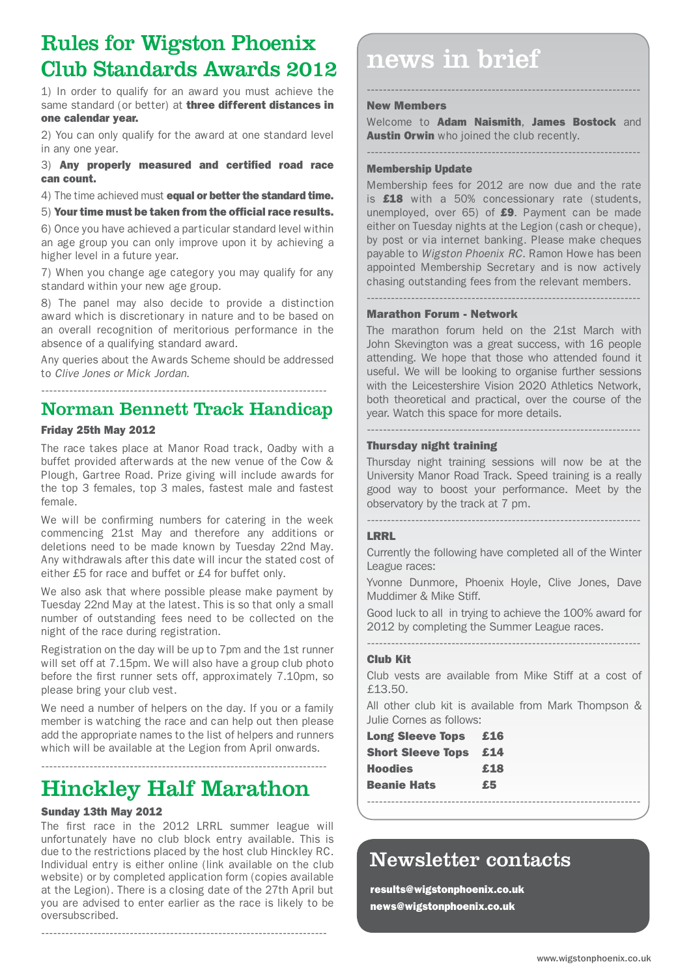# Rules for Wigston Phoenix Club Standards Awards 2012

1) In order to qualify for an award you must achieve the same standard (or better) at three different distances in one calendar year.

2) You can only qualify for the award at one standard level in any one year.

3) Any properly measured and certified road race can count.

4) The time achieved must **equal or better the standard time.** 

5) Your time must be taken from the official race results.

6) Once you have achieved a particular standard level within an age group you can only improve upon it by achieving a higher level in a future year.

7) When you change age category you may qualify for any standard within your new age group.

8) The panel may also decide to provide a distinction award which is discretionary in nature and to be based on an overall recognition of meritorious performance in the absence of a qualifying standard award.

Any queries about the Awards Scheme should be addressed to *Clive Jones or Mick Jordan*.

## Norman Bennett Track Handicap

#### Friday 25th May 2012

The race takes place at Manor Road track, Oadby with a buffet provided afterwards at the new venue of the Cow & Plough, Gartree Road. Prize giving will include awards for the top 3 females, top 3 males, fastest male and fastest female.

We will be confirming numbers for catering in the week commencing 21st May and therefore any additions or deletions need to be made known by Tuesday 22nd May. Any withdrawals after this date will incur the stated cost of either £5 for race and buffet or £4 for buffet only.

We also ask that where possible please make payment by Tuesday 22nd May at the latest. This is so that only a small number of outstanding fees need to be collected on the night of the race during registration.

Registration on the day will be up to 7pm and the 1st runner will set off at 7.15pm. We will also have a group club photo before the first runner sets off, approximately 7.10pm, so please bring your club vest.

We need a number of helpers on the day. If you or a family member is watching the race and can help out then please add the appropriate names to the list of helpers and runners which will be available at the Legion from April onwards.

-----------------------------------------------------------------------

# Hinckley Half Marathon

#### Sunday 13th May 2012

The first race in the 2012 LRRL summer league will unfortunately have no club block entry available. This is due to the restrictions placed by the host club Hinckley RC. Individual entry is either online (link available on the club website) or by completed application form (copies available at the Legion). There is a closing date of the 27th April but you are advised to enter earlier as the race is likely to be oversubscribed.

-----------------------------------------------------------------------

# news in brief

#### New Members

Welcome to **Adam Naismith, James Bostock** and **Austin Orwin** who joined the club recently.

--------------------------------------------------------------------

-------------------------------------------------------------------- Membership Update

Membership fees for 2012 are now due and the rate is £18 with a 50% concessionary rate (students, unemployed, over  $65$ ) of  $£9$ . Payment can be made either on Tuesday nights at the Legion (cash or cheque), by post or via internet banking. Please make cheques payable to *Wigston Phoenix RC*. Ramon Howe has been appointed Membership Secretary and is now actively chasing outstanding fees from the relevant members*.*

--------------------------------------------------------------------

#### Marathon Forum - Network

The marathon forum held on the 21st March with John Skevington was a great success, with 16 people attending. We hope that those who attended found it useful. We will be looking to organise further sessions with the Leicestershire Vision 2020 Athletics Network, both theoretical and practical, over the course of the year. Watch this space for more details.

#### Thursday night training

Thursday night training sessions will now be at the University Manor Road Track. Speed training is a really good way to boost your performance. Meet by the observatory by the track at 7 pm.

--------------------------------------------------------------------

#### --------------------------------------------------------------------

#### LRRL

Currently the following have completed all of the Winter League races:

Yvonne Dunmore, Phoenix Hoyle, Clive Jones, Dave Muddimer & Mike Stiff.

Good luck to all in trying to achieve the 100% award for 2012 by completing the Summer League races.

--------------------------------------------------------------------

#### Club Kit

Club vests are available from Mike Stiff at a cost of £13.50.

All other club kit is available from Mark Thompson & Julie Cornes as follows:

--------------------------------------------------------------------

| <b>Long Sleeve Tops</b>  | £16 |
|--------------------------|-----|
| <b>Short Sleeve Tops</b> | £14 |
| <b>Hoodies</b>           | £18 |
| <b>Beanie Hats</b>       | £5  |
|                          |     |

## Newsletter contacts

results@wigstonphoenix.co.uk news@wigstonphoenix.co.uk